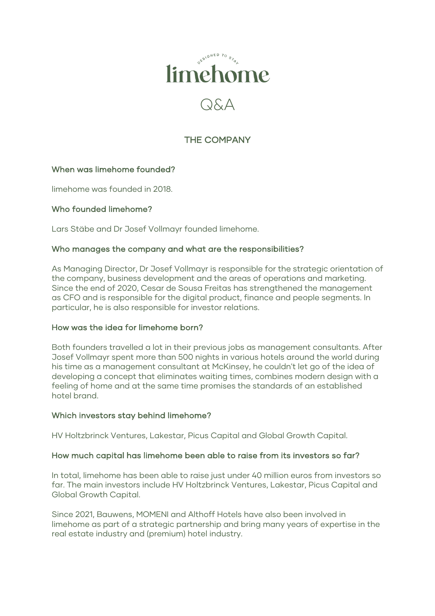

# THE COMPANY

# When was limehome founded?

limehome was founded in 2018.

### Who founded limehome?

Lars Stäbe and Dr Josef Vollmayr founded limehome.

#### Who manages the company and what are the responsibilities?

As Managing Director, Dr Josef Vollmayr is responsible for the strategic orientation of the company, business development and the areas of operations and marketing. Since the end of 2020, Cesar de Sousa Freitas has strengthened the management as CFO and is responsible for the digital product, finance and people segments. In particular, he is also responsible for investor relations.

# How was the idea for limehome born?

Both founders travelled a lot in their previous jobs as management consultants. After Josef Vollmayr spent more than 500 nights in various hotels around the world during his time as a management consultant at McKinsey, he couldn't let go of the idea of developing a concept that eliminates waiting times, combines modern design with a feeling of home and at the same time promises the standards of an established hotel brand.

#### Which investors stay behind limehome?

HV Holtzbrinck Ventures, Lakestar, Picus Capital and Global Growth Capital.

#### How much capital has limehome been able to raise from its investors so far?

In total, limehome has been able to raise just under 40 million euros from investors so far. The main investors include HV Holtzbrinck Ventures, Lakestar, Picus Capital and Global Growth Capital.

Since 2021, Bauwens, MOMENI and Althoff Hotels have also been involved in limehome as part of a strategic partnership and bring many years of expertise in the real estate industry and (premium) hotel industry.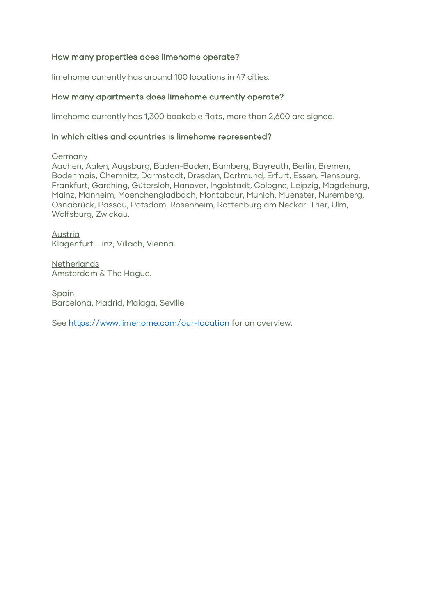# How many properties does limehome operate?

limehome currently has around 100 locations in 47 cities.

#### How many apartments does limehome currently operate?

limehome currently has 1,300 bookable flats, more than 2,600 are signed.

#### In which cities and countries is limehome represented?

#### Germany

Aachen, Aalen, Augsburg, Baden-Baden, Bamberg, Bayreuth, Berlin, Bremen, Bodenmais, Chemnitz, Darmstadt, Dresden, Dortmund, Erfurt, Essen, Flensburg, Frankfurt, Garching, Gütersloh, Hanover, Ingolstadt, Cologne, Leipzig, Magdeburg, Mainz, Manheim, Moenchengladbach, Montabaur, Munich, Muenster, Nuremberg, Osnabrück, Passau, Potsdam, Rosenheim, Rottenburg am Neckar, Trier, Ulm, Wolfsburg, Zwickau.

Austria Klagenfurt, Linz, Villach, Vienna.

**Netherlands** Amsterdam & The Hague.

**Spain** Barcelona, Madrid, Malaga, Seville.

See https://www.limehome.com/our-location for an overview.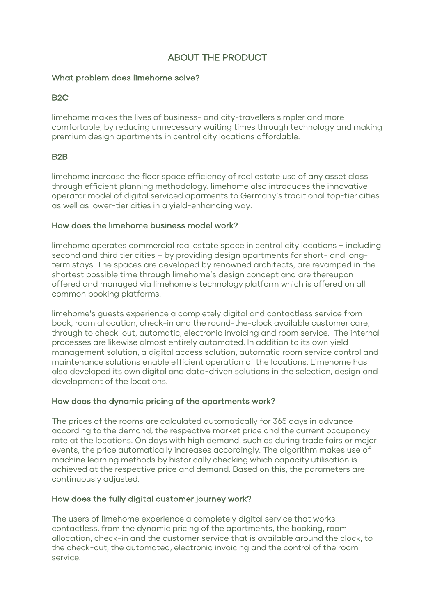# ABOUT THE PRODUCT

# What problem does limehome solve?

# B2C

limehome makes the lives of business- and city-travellers simpler and more comfortable, by reducing unnecessary waiting times through technology and making premium design apartments in central city locations affordable.

# B2B

limehome increase the floor space efficiency of real estate use of any asset class through efficient planning methodology. limehome also introduces the innovative operator model of digital serviced aparments to Germany's traditional top-tier cities as well as lower-tier cities in a yield-enhancing way.

#### How does the limehome business model work?

limehome operates commercial real estate space in central city locations – including second and third tier cities – by providing design apartments for short- and longterm stays. The spaces are developed by renowned architects, are revamped in the shortest possible time through limehome's design concept and are thereupon offered and managed via limehome's technology platform which is offered on all common booking platforms.

limehome's guests experience a completely digital and contactless service from book, room allocation, check-in and the round-the-clock available customer care, through to check-out, automatic, electronic invoicing and room service. The internal processes are likewise almost entirely automated. In addition to its own yield management solution, a digital access solution, automatic room service control and maintenance solutions enable efficient operation of the locations. Limehome has also developed its own digital and data-driven solutions in the selection, design and development of the locations.

# How does the dynamic pricing of the apartments work?

The prices of the rooms are calculated automatically for 365 days in advance according to the demand, the respective market price and the current occupancy rate at the locations. On days with high demand, such as during trade fairs or major events, the price automatically increases accordingly. The algorithm makes use of machine learning methods by historically checking which capacity utilisation is achieved at the respective price and demand. Based on this, the parameters are continuously adjusted.

# How does the fully digital customer journey work?

The users of limehome experience a completely digital service that works contactless, from the dynamic pricing of the apartments, the booking, room allocation, check-in and the customer service that is available around the clock, to the check-out, the automated, electronic invoicing and the control of the room service.